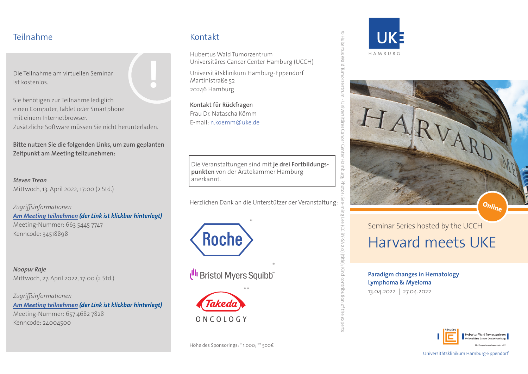#### Teilnahme

Die Teilnahme am virtuellen Seminar ist kostenlos.

Sie benötigen zur Teilnahme lediglich einen Computer, Tablet oder Smartphone mit einem Internetbrowser. Zusätzliche Software müssen Sie nicht herunterladen. **!**

**Bitte nutzen Sie die folgenden Links, um zum geplanten Zeitpunkt am Meeting teilzunehmen:**

*Steven Treon* Mittwoch, 13. April 2022, 17:00 (2 Std.)

*Zugriffsinformationen [Am Meeting teilnehmen](https://uni-hamburg.zoom.us/j/66354457747?pwd=NEJrYUJCWXFvU1FaR1hlUjlTSnJJdz09) (der Link ist klickbar hinterlegt)* Meeting-Nummer: 663 5445 7747 Kenncode: 34518898

*Noopur Raje* Mittwoch, 27. April 2022, 17:00 (2 Std.)

*Zugriffsinformationen [Am Meeting teilnehmen](https://uni-hamburg.zoom.us/j/65746827828?pwd=UTlyOTExN1FKRzNLSFp2UGp6bVA1dz09) (der Link ist klickbar hinterlegt)* Meeting-Nummer: 657 4682 7828 Kenncode: 24004500

## Kontakt

Hubertus Wald Tumorzentrum Universitäres Cancer Center Hamburg (UCCH)

Universitätsklinikum Hamburg-Eppendorf Martinistraße 52 20246 Hamburg

**Kontakt für Rückfragen** Frau Dr. Natascha Kömm E-mail: n.koemm@uke.de

Die Veranstaltungen sind mit **je drei Fortbildungspunkten** von der Ärztekammer Hamburg anerkannt.

Herzlichen Dank an die Unterstützer der Veranstaltung:



Ull Bristol Myers Squibb





© Hubertus Wald Tumorzentrum - Universitäres Cancer Center Hamburg; Photos: See-ming Lee (CC BY-SA 2.0) (title); Kind contribution of the experts

2.0) (title); Kind contribution of the experts



Seminar Series hosted by the UCCH Harvard meets UKE

**Paradigm changes in Hematology Lymphoma & Myeloma**

13.04.2022 | 27.04.2022



Universitätsklinikum Hamburg-Eppendorf